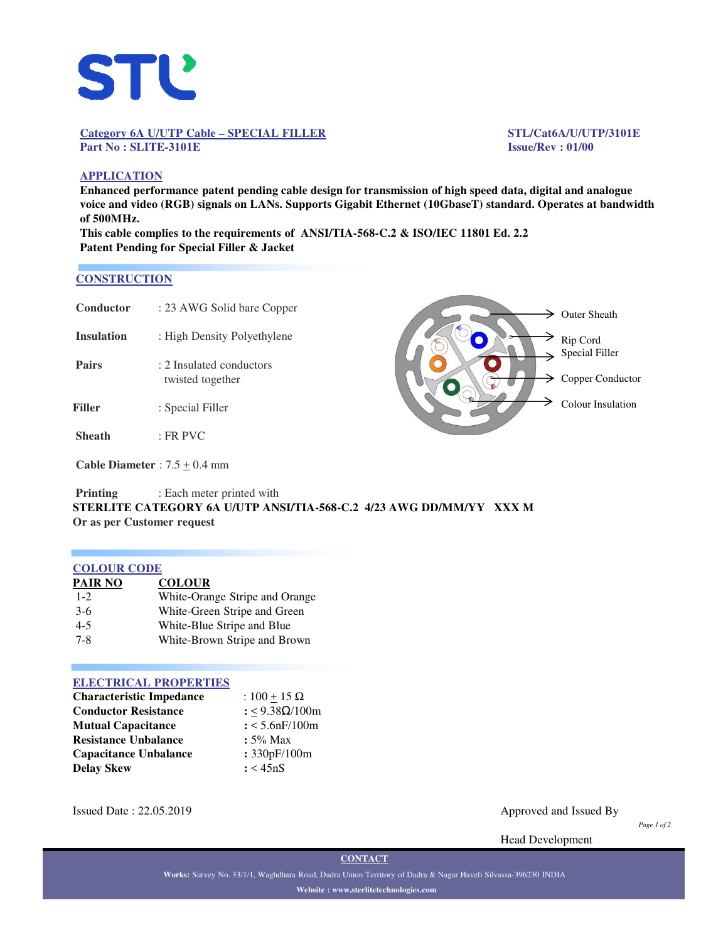

## **Category 6A U/UTP Cable – SPECIAL FILLER STL/Cat6A/U/UTP/3101E Part No : SLITE-3101E Issue/Rev : 01/00**

## **APPLICATION**

**Enhanced performance patent pending cable design for transmission of high speed data, digital and analogue voice and video (RGB) signals on LANs. Supports Gigabit Ethernet (10GbaseT) standard. Operates at bandwidth of 500MHz.**

**This cable complies to the requirements of ANSI/TIA-568-C.2 & ISO/IEC 11801 Ed. 2.2 Patent Pending for Special Filler & Jacket**

## **CONSTRUCTION**

| Conductor         | : 23 AWG Solid bare Copper                   |  |
|-------------------|----------------------------------------------|--|
| <b>Insulation</b> | : High Density Polyethylene                  |  |
| <b>Pairs</b>      | : 2 Insulated conductors<br>twisted together |  |
| Filler            | : Special Filler                             |  |
| <b>Sheath</b>     | $:$ FR PVC                                   |  |
|                   | Cable Diameter $\cdot$ 7.5 + 0.4 mm          |  |



**Cable Diameter** : 7.5 <u>+</u> 0.4 mm

## **Printing** : Each meter printed with **STERLITE CATEGORY 6A U/UTP ANSI/TIA-568-C.2 4/23 AWG DD/MM/YY XXX M Or as per Customer request**

## **COLOUR CODE**

| <b>PAIR NO</b> | <b>COLOUR</b>                                                                                                                                                                                                                                                                                                                                                                                                                                                             |
|----------------|---------------------------------------------------------------------------------------------------------------------------------------------------------------------------------------------------------------------------------------------------------------------------------------------------------------------------------------------------------------------------------------------------------------------------------------------------------------------------|
| $1 - 2$        | White-Orange Stripe and Orange                                                                                                                                                                                                                                                                                                                                                                                                                                            |
| $3-6$          | White-Green Stripe and Green                                                                                                                                                                                                                                                                                                                                                                                                                                              |
| $\sim$         | $W1$ $\downarrow$ $\downarrow$ $\downarrow$ $\downarrow$ $\uparrow$ $\downarrow$ $\downarrow$ $\downarrow$ $\downarrow$ $\downarrow$ $\downarrow$ $\downarrow$ $\downarrow$ $\downarrow$ $\downarrow$ $\downarrow$ $\downarrow$ $\downarrow$ $\downarrow$ $\downarrow$ $\downarrow$ $\downarrow$ $\downarrow$ $\downarrow$ $\downarrow$ $\downarrow$ $\downarrow$ $\downarrow$ $\downarrow$ $\downarrow$ $\downarrow$ $\downarrow$ $\downarrow$ $\downarrow$ $\downarrow$ |

4-5 White-Blue Stripe and Blue 7-8 White-Brown Stripe and Brown

# **ELECTRICAL PROPERTIES**

| : $100 + 15 \Omega$   |
|-----------------------|
| : <9.38Ω/100m         |
| $: < 5.6$ n $F/100$ m |
| $: 5\%$ Max           |
| : 330pF/100m          |
| : < 45nS              |
|                       |

Issued Date : 22.05.2019 Approved and Issued By

*Page 1 of 2*

Head Development

**CONTACT**

**Works:** Survey No. 33/1/1, Waghdhara Road, Dadra Union Territory of Dadra & Nagar Haveli Silvassa-396230 INDIA **Website : www.sterlitetechnologies.com**